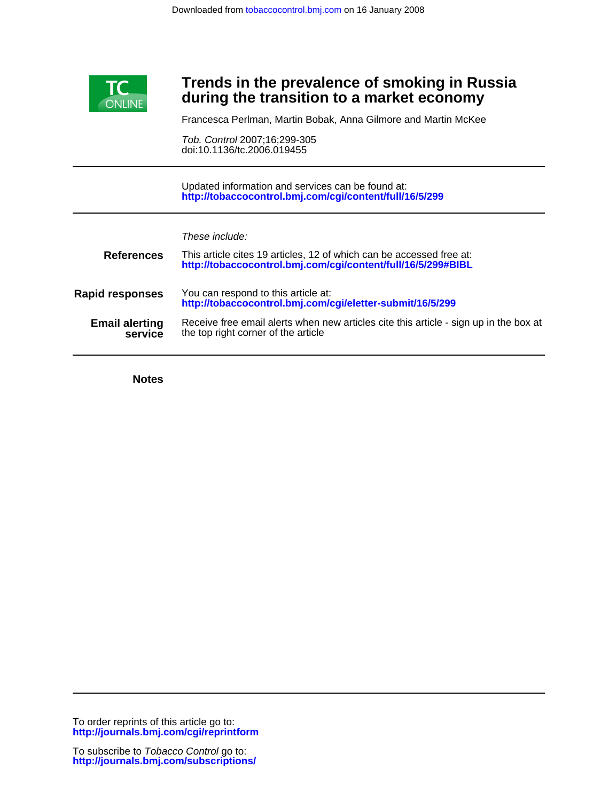

# **during the transition to a market economy Trends in the prevalence of smoking in Russia**

Francesca Perlman, Martin Bobak, Anna Gilmore and Martin McKee

doi:10.1136/tc.2006.019455 Tob. Control 2007;16;299-305

**<http://tobaccocontrol.bmj.com/cgi/content/full/16/5/299>** Updated information and services can be found at:

These include:

| <b>References</b>                | This article cites 19 articles, 12 of which can be accessed free at:<br>http://tobaccocontrol.bmj.com/cgi/content/full/16/5/299#BIBL |
|----------------------------------|--------------------------------------------------------------------------------------------------------------------------------------|
| <b>Rapid responses</b>           | You can respond to this article at:<br>http://tobaccocontrol.bmj.com/cgi/eletter-submit/16/5/299                                     |
| <b>Email alerting</b><br>service | Receive free email alerts when new articles cite this article - sign up in the box at<br>the top right corner of the article         |

**Notes**

**<http://journals.bmj.com/cgi/reprintform>** To order reprints of this article go to: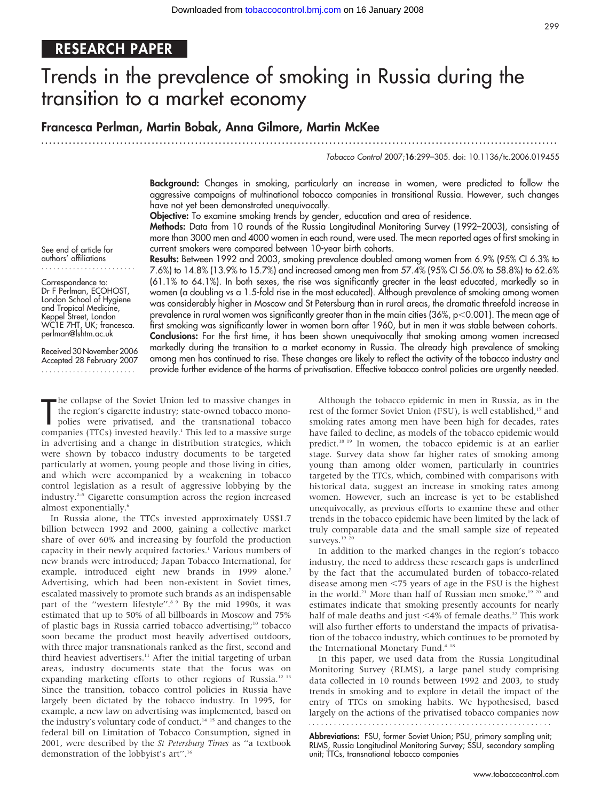# RESEARCH PAPER

# Trends in the prevalence of smoking in Russia during the transition to a market economy

Francesca Perlman, Martin Bobak, Anna Gilmore, Martin McKee

............................................................... ............................................................... .....

Tobacco Control 2007;16:299–305. doi: 10.1136/tc.2006.019455

Background: Changes in smoking, particularly an increase in women, were predicted to follow the aggressive campaigns of multinational tobacco companies in transitional Russia. However, such changes have not yet been demonstrated unequivocally.

Objective: To examine smoking trends by gender, education and area of residence.

Methods: Data from 10 rounds of the Russia Longitudinal Monitoring Survey (1992–2003), consisting of more than 3000 men and 4000 women in each round, were used. The mean reported ages of first smoking in current smokers were compared between 10-year birth cohorts.

See end of article for authors' affiliations ........................

Correspondence to: Dr F Perlman, ECOHOST, London School of Hygiene and Tropical Medicine, Keppel Street, London WC1E 7HT, UK; francesca. perlman@lshtm.ac.uk

Received 30 November 2006 Accepted 28 February 2007 ........................

Results: Between 1992 and 2003, smoking prevalence doubled among women from 6.9% (95% CI 6.3% to 7.6%) to 14.8% (13.9% to 15.7%) and increased among men from 57.4% (95% CI 56.0% to 58.8%) to 62.6% (61.1% to 64.1%). In both sexes, the rise was significantly greater in the least educated, markedly so in women (a doubling vs a 1.5-fold rise in the most educated). Although prevalence of smoking among women was considerably higher in Moscow and St Petersburg than in rural areas, the dramatic threefold increase in prevalence in rural women was significantly greater than in the main cities  $(36\% , p<0.001)$ . The mean age of first smoking was significantly lower in women born after 1960, but in men it was stable between cohorts. Conclusions: For the first time, it has been shown unequivocally that smoking among women increased markedly during the transition to a market economy in Russia. The already high prevalence of smoking among men has continued to rise. These changes are likely to reflect the activity of the tobacco industry and provide further evidence of the harms of privatisation. Effective tobacco control policies are urgently needed.

he collapse of the Soviet Union led to massive changes in

The collapse of the Soviet Union led to massive changes in<br>the region's cigarette industry; state-owned tobacco mono-<br>polies were privatised, and the transnational tobacco<br>companies (TTCs) invested heavily.<sup>1</sup> This led to the region's cigarette industry; state-owned tobacco monopolies were privatised, and the transnational tobacco in advertising and a change in distribution strategies, which were shown by tobacco industry documents to be targeted particularly at women, young people and those living in cities, and which were accompanied by a weakening in tobacco control legislation as a result of aggressive lobbying by the industry.2–5 Cigarette consumption across the region increased almost exponentially.<sup>6</sup>

In Russia alone, the TTCs invested approximately US\$1.7 billion between 1992 and 2000, gaining a collective market share of over 60% and increasing by fourfold the production capacity in their newly acquired factories.<sup>1</sup> Various numbers of new brands were introduced; Japan Tobacco International, for example, introduced eight new brands in 1999 alone.<sup>7</sup> Advertising, which had been non-existent in Soviet times, escalated massively to promote such brands as an indispensable part of the "western lifestyle".<sup>8 9</sup> By the mid 1990s, it was estimated that up to 50% of all billboards in Moscow and 75% of plastic bags in Russia carried tobacco advertising;<sup>10</sup> tobacco soon became the product most heavily advertised outdoors, with three major transnationals ranked as the first, second and third heaviest advertisers.<sup>11</sup> After the initial targeting of urban areas, industry documents state that the focus was on expanding marketing efforts to other regions of Russia.<sup>12 13</sup> Since the transition, tobacco control policies in Russia have largely been dictated by the tobacco industry. In 1995, for example, a new law on advertising was implemented, based on the industry's voluntary code of conduct,<sup>14 15</sup> and changes to the federal bill on Limitation of Tobacco Consumption, signed in 2001, were described by the St Petersburg Times as ''a textbook demonstration of the lobbyist's art''.16

Although the tobacco epidemic in men in Russia, as in the rest of the former Soviet Union (FSU), is well established.<sup>17</sup> and smoking rates among men have been high for decades, rates have failed to decline, as models of the tobacco epidemic would predict.<sup>18 19</sup> In women, the tobacco epidemic is at an earlier stage. Survey data show far higher rates of smoking among young than among older women, particularly in countries targeted by the TTCs, which, combined with comparisons with historical data, suggest an increase in smoking rates among women. However, such an increase is yet to be established unequivocally, as previous efforts to examine these and other trends in the tobacco epidemic have been limited by the lack of truly comparable data and the small sample size of repeated surveys.<sup>19 20</sup>

In addition to the marked changes in the region's tobacco industry, the need to address these research gaps is underlined by the fact that the accumulated burden of tobacco-related disease among men  $\leq$ 75 years of age in the FSU is the highest in the world.<sup>21</sup> More than half of Russian men smoke,<sup>19 20</sup> and estimates indicate that smoking presently accounts for nearly half of male deaths and just  $\langle 4\%$  of female deaths.<sup>22</sup> This work will also further efforts to understand the impacts of privatisation of the tobacco industry, which continues to be promoted by the International Monetary Fund.<sup>4 18</sup>

In this paper, we used data from the Russia Longitudinal Monitoring Survey (RLMS), a large panel study comprising data collected in 10 rounds between 1992 and 2003, to study trends in smoking and to explore in detail the impact of the entry of TTCs on smoking habits. We hypothesised, based largely on the actions of the privatised tobacco companies now

Abbreviations: FSU, former Soviet Union; PSU, primary sampling unit; RLMS, Russia Longitudinal Monitoring Survey; SSU, secondary sampling unit; TTCs, transnational tobacco companies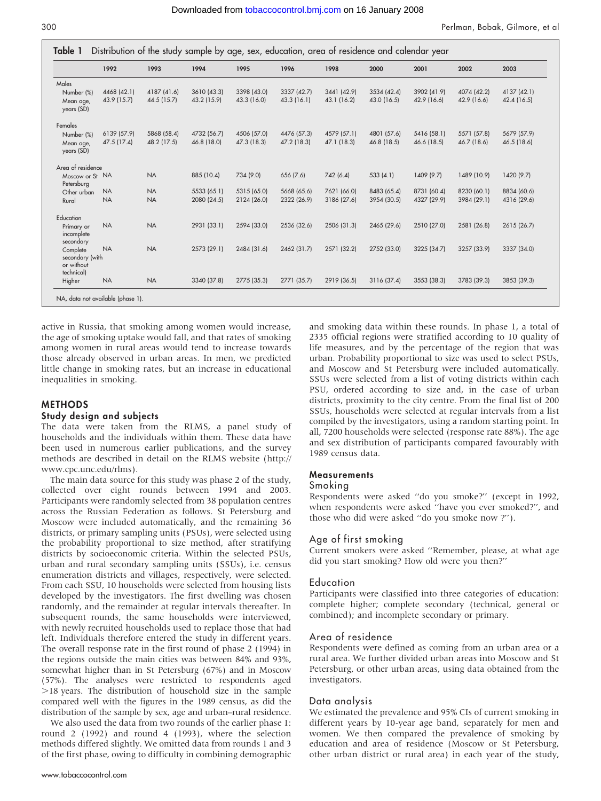|                                                         | 1992        | 1993        | 1994        | 1995        | 1996        | 1998        | 2000        | 2001        | 2002        | 2003        |
|---------------------------------------------------------|-------------|-------------|-------------|-------------|-------------|-------------|-------------|-------------|-------------|-------------|
| Males                                                   |             |             |             |             |             |             |             |             |             |             |
| Number (%)                                              | 4468 (42.1) | 4187 (41.6) | 3610 (43.3) | 3398 (43.0) | 3337 (42.7) | 3441 (42.9) | 3534 (42.4) | 3902 (41.9) | 4074 (42.2) | 4137 (42.1) |
| Mean age,<br>years (SD)                                 | 43.9 (15.7) | 44.5 (15.7) | 43.2 (15.9) | 43.3 (16.0) | 43.3 (16.1) | 43.1 (16.2) | 43.0 (16.5) | 42.9 (16.6) | 42.9 (16.6) | 42.4 (16.5) |
| Females                                                 |             |             |             |             |             |             |             |             |             |             |
| Number (%)                                              | 6139 (57.9) | 5868 (58.4) | 4732 (56.7) | 4506 (57.0) | 4476 (57.3) | 4579 (57.1) | 4801 (57.6) | 5416 (58.1) | 5571 (57.8) | 5679 (57.9) |
| Mean age,<br>years (SD)                                 | 47.5 (17.4) | 48.2 (17.5) | 46.8 (18.0) | 47.3 (18.3) | 47.2 (18.3) | 47.1 (18.3) | 46.8 (18.5) | 46.6 (18.5) | 46.7 (18.6) | 46.5 (18.6) |
| Area of residence                                       |             |             |             |             |             |             |             |             |             |             |
| Moscow or St NA<br>Petersburg                           |             | <b>NA</b>   | 885 (10.4)  | 734 (9.0)   | 656 (7.6)   | 742 (6.4)   | 533(4.1)    | 1409(9.7)   | 1489 (10.9) | 1420 (9.7)  |
| Other urban                                             | <b>NA</b>   | <b>NA</b>   | 5533 (65.1) | 5315 (65.0) | 5668 (65.6) | 7621 (66.0) | 8483 (65.4) | 8731 (60.4) | 8230 (60.1) | 8834 (60.6) |
| Rural                                                   | <b>NA</b>   | <b>NA</b>   | 2080 (24.5) | 2124 (26.0) | 2322 (26.9) | 3186 (27.6) | 3954 (30.5) | 4327 (29.9) | 3984 (29.1) | 4316 (29.6) |
| Education                                               |             |             |             |             |             |             |             |             |             |             |
| Primary or<br>incomplete<br>secondary                   | <b>NA</b>   | <b>NA</b>   | 2931 (33.1) | 2594 (33.0) | 2536 (32.6) | 2506 (31.3) | 2465 (29.6) | 2510 (27.0) | 2581 (26.8) | 2615 (26.7) |
| Complete<br>secondary (with<br>or without<br>technical) | <b>NA</b>   | <b>NA</b>   | 2573 (29.1) | 2484 (31.6) | 2462 (31.7) | 2571 (32.2) | 2752 (33.0) | 3225 (34.7) | 3257 (33.9) | 3337 (34.0) |
| Higher                                                  | <b>NA</b>   | <b>NA</b>   | 3340 (37.8) | 2775 (35.3) | 2771 (35.7) | 2919 (36.5) | 3116 (37.4) | 3553 (38.3) | 3783 (39.3) | 3853 (39.3) |

active in Russia, that smoking among women would increase, the age of smoking uptake would fall, and that rates of smoking among women in rural areas would tend to increase towards those already observed in urban areas. In men, we predicted little change in smoking rates, but an increase in educational inequalities in smoking.

## METHODS

#### Study design and subjects

The data were taken from the RLMS, a panel study of households and the individuals within them. These data have been used in numerous earlier publications, and the survey methods are described in detail on the RLMS website (http:// www.cpc.unc.edu/rlms).

The main data source for this study was phase 2 of the study, collected over eight rounds between 1994 and 2003. Participants were randomly selected from 38 population centres across the Russian Federation as follows. St Petersburg and Moscow were included automatically, and the remaining 36 districts, or primary sampling units (PSUs), were selected using the probability proportional to size method, after stratifying districts by socioeconomic criteria. Within the selected PSUs, urban and rural secondary sampling units (SSUs), i.e. census enumeration districts and villages, respectively, were selected. From each SSU, 10 households were selected from housing lists developed by the investigators. The first dwelling was chosen randomly, and the remainder at regular intervals thereafter. In subsequent rounds, the same households were interviewed, with newly recruited households used to replace those that had left. Individuals therefore entered the study in different years. The overall response rate in the first round of phase 2 (1994) in the regions outside the main cities was between 84% and 93%, somewhat higher than in St Petersburg (67%) and in Moscow (57%). The analyses were restricted to respondents aged  $>18$  years. The distribution of household size in the sample compared well with the figures in the 1989 census, as did the distribution of the sample by sex, age and urban–rural residence.

We also used the data from two rounds of the earlier phase 1: round 2 (1992) and round 4 (1993), where the selection methods differed slightly. We omitted data from rounds 1 and 3 of the first phase, owing to difficulty in combining demographic and smoking data within these rounds. In phase 1, a total of 2335 official regions were stratified according to 10 quality of life measures, and by the percentage of the region that was urban. Probability proportional to size was used to select PSUs, and Moscow and St Petersburg were included automatically. SSUs were selected from a list of voting districts within each PSU, ordered according to size and, in the case of urban districts, proximity to the city centre. From the final list of 200 SSUs, households were selected at regular intervals from a list compiled by the investigators, using a random starting point. In all, 7200 households were selected (response rate 88%). The age and sex distribution of participants compared favourably with 1989 census data.

#### Measurements

#### Smoking

Respondents were asked ''do you smoke?'' (except in 1992, when respondents were asked ''have you ever smoked?'', and those who did were asked ''do you smoke now ?'').

#### Age of first smoking

Current smokers were asked ''Remember, please, at what age did you start smoking? How old were you then?''

#### **Education**

Participants were classified into three categories of education: complete higher; complete secondary (technical, general or combined); and incomplete secondary or primary.

#### Area of residence

Respondents were defined as coming from an urban area or a rural area. We further divided urban areas into Moscow and St Petersburg, or other urban areas, using data obtained from the investigators.

#### Data analysis

We estimated the prevalence and 95% CIs of current smoking in different years by 10-year age band, separately for men and women. We then compared the prevalence of smoking by education and area of residence (Moscow or St Petersburg, other urban district or rural area) in each year of the study,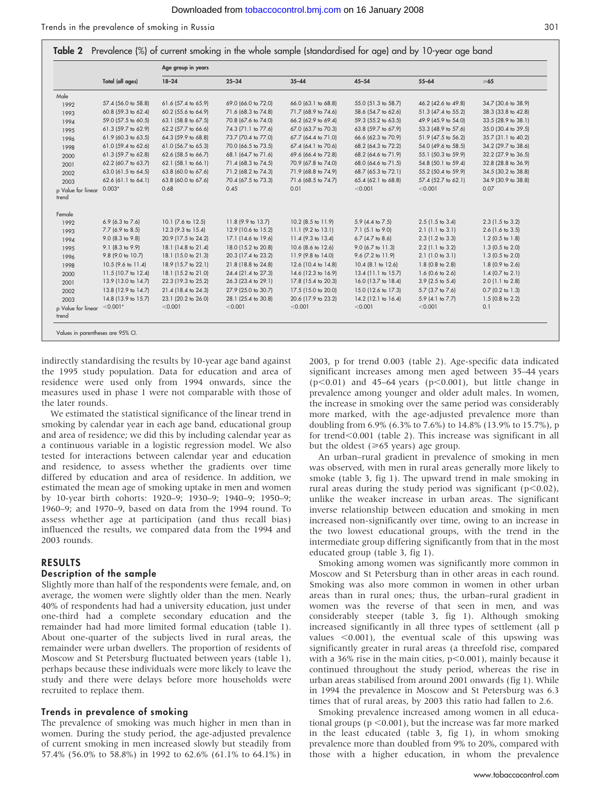Trends in the prevalence of smoking in Russia 301

Table 2 Prevalence (%) of current smoking in the whole sample (standardised for age) and by 10-year age band

|                    |                             | Age group in years    |                     |                     |                       |                            |                     |  |
|--------------------|-----------------------------|-----------------------|---------------------|---------------------|-----------------------|----------------------------|---------------------|--|
|                    | Total (all ages)            | $18 - 24$             | $25 - 34$           | $35 - 44$           | $45 - 54$             | $55 - 64$                  | $\ge 65$            |  |
| Male               |                             |                       |                     |                     |                       |                            |                     |  |
| 1992               | 57.4 (56.0 to 58.8)         | $61.6$ (57.4 to 65.9) | 69.0 (66.0 to 72.0) | 66.0 (63.1 to 68.8) | 55.0 (51.3 to 58.7)   | 46.2 (42.6 to 49.8)        | 34.7 (30.6 to 38.9) |  |
| 1993               | 60.8 (59.3 to 62.4)         | 60.2 (55.6 to 64.9)   | 71.6 (68.3 to 74.8) | 71.7 (68.9 to 74.6) | 58.6 (54.7 to 62.6)   | 51.3 (47.4 to 55.2)        | 38.3 (33.8 to 42.8) |  |
| 1994               | 59.0 (57.5 to 60.5)         | 63.1 (58.8 to 67.5)   | 70.8 (67.6 to 74.0) | 66.2 (62.9 to 69.4) | 59.3 (55.2 to 63.5)   | 49.9 (45.9 to 54.0)        | 33.5 (28.9 to 38.1) |  |
| 1995               | 61.3 (59.7 to 62.9)         | 62.2 (57.7 to 66.6)   | 74.3 (71.1 to 77.6) | 67.0 (63.7 to 70.3) | 63.8 (59.7 to 67.9)   | 53.3 (48.9 to 57.6)        | 35.0 (30.4 to 39.5) |  |
| 1996               | $61.9$ (60.3 to 63.5)       | 64.3 (59.9 to 68.8)   | 73.7 (70.4 to 77.0) | 67.7 (64.4 to 71.0) | 66.6 (62.3 to 70.9)   | 51.9 (47.5 to 56.2)        | 35.7 (31.1 to 40.2) |  |
| 1998               | 61.0 (59.4 to 62.6)         | 61.0 (56.7 to 65.3)   | 70.0 (66.5 to 73.5) | 67.4 (64.1 to 70.6) | 68.2 (64.3 to 72.2)   | 54.0 (49.6 to 58.5)        | 34.2 (29.7 to 38.6) |  |
| 2000               | 61.3 (59.7 to 62.8)         | 62.6 (58.5 to 66.7)   | 68.1 (64.7 to 71.6) | 69.6 (66.4 to 72.8) | 68.2 (64.6 to 71.9)   | 55.1 (50.3 to 59.9)        | 32.2 (27.9 to 36.5) |  |
| 2001               | 62.2 (60.7 to 63.7)         | 62.1 (58.1 to 66.1)   | 71.4 (68.3 to 74.5) | 70.9 (67.8 to 74.0) | 68.0 (64.6 to 71.5)   | 54.8 (50.1 to 59.4)        | 32.8 (28.8 to 36.9) |  |
| 2002               | 63.0 (61.5 to 64.5)         | 63.8 (60.0 to 67.6)   | 71.2 (68.2 to 74.3) | 71.9 (68.8 to 74.9) | 68.7 (65.3 to 72.1)   | 55.2 (50.4 to 59.9)        | 34.5 (30.2 to 38.8) |  |
| 2003               | 62.6 (61.1 to 64.1)         | 63.8 (60.0 to 67.6)   | 70.4 (67.5 to 73.3) | 71.6 (68.5 to 74.7) | 65.4 (62.1 to 68.8)   | 57.4 (52.7 to 62.1)        | 34.9 (30.9 to 38.8) |  |
| p Value for linear | $0.003*$                    | 0.68                  | 0.45                | 0.01                | < 0.001               | < 0.001                    | 0.07                |  |
| trend              |                             |                       |                     |                     |                       |                            |                     |  |
| Female             |                             |                       |                     |                     |                       |                            |                     |  |
| 1992               | 6.9 $(6.3 \text{ to } 7.6)$ | 10.1 (7.6 to 12.5)    | 11.8 (9.9 to 13.7)  | 10.2 (8.5 to 11.9)  | 5.9 (4.4 to 7.5)      | $2.5(1.5 \text{ to } 3.4)$ | $2.3$ (1.5 to 3.2)  |  |
| 1993               | 7.7 (6.9 to 8.5)            | 12.3 (9.3 to 15.4)    | 12.9 (10.6 to 15.2) | 11.1 (9.2 to 13.1)  | 7.1 (5.1 to 9.0)      | $2.1$ (1.1 to $3.1$ )      | 2.6 (1.6 to 3.5)    |  |
| 1994               | 9.0 (8.3 to 9.8)            | 20.9 (17.5 to 24.2)   | 17.1 (14.6 to 19.6) | 11.4 (9.3 to 13.4)  | $6.7$ (4.7 to 8.6)    | $2.3$ (1.2 to 3.3)         | $1.2$ (0.5 to 1.8)  |  |
| 1995               | 9.1 (8.3 to 9.9)            | 18.1 (14.8 to 21.4)   | 18.0 (15.2 to 20.8) | 10.6 (8.6 to 12.6)  | 9.0 (6.7 to 11.3)     | $2.2$ (1.1 to 3.2)         | $1.3$ (0.5 to 2.0)  |  |
| 1996               | 9.8 (9.0 to 10.7)           | 18.1 (15.0 to 21.3)   | 20.3 (17.4 to 23.2) | 11.9 (9.8 to 14.0)  | 9.6 (7.2 to 11.9)     | $2.1$ (1.0 to 3.1)         | $1.3$ (0.5 to 2.0)  |  |
| 1998               | 10.5 (9.6 to 11.4)          | 18.9 (15.7 to 22.1)   | 21.8 (18.8 to 24.8) | 12.6 (10.4 to 14.8) | $10.4$ (8.1 to 12.6)  | 1.8 (0.8 to 2.8)           | $1.8$ (0.9 to 2.6)  |  |
| 2000               | 11.5 (10.7 to 12.4)         | 18.1 (15.2 to 21.0)   | 24.4 (21.4 to 27.3) | 14.6 (12.3 to 16.9) | 13.4 (11.1 to 15.7)   | $1.6$ (0.6 to 2.6)         | $1.4$ (0.7 to 2.1)  |  |
| 2001               | 13.9 (13.0 to 14.7)         | 22.3 (19.3 to 25.2)   | 26.3 (23.4 to 29.1) | 17.8 (15.4 to 20.3) | 16.0 (13.7 to 18.4)   | $3.9$ (2.5 to 5.4)         | $2.0$ (1.1 to 2.8)  |  |
| 2002               | 13.8 (12.9 to 14.7)         | 21.4 (18.4 to 24.3)   | 27.9 (25.0 to 30.7) | 17.5 (15.0 to 20.0) | 15.0 (12.6 to 17.3)   | 5.7 (3.7 to 7.6)           | $0.7$ (0.2 to 1.3)  |  |
| 2003               | 14.8 (13.9 to 15.7)         | 23.1 (20.2 to 26.0)   | 28.1 (25.4 to 30.8) | 20.6 (17.9 to 23.2) | $14.2$ (12.1 to 16.4) | 5.9 (4.1 to 7.7)           | $1.5$ (0.8 to 2.2)  |  |
| p Value for linear | $< 0.001*$                  | < 0.001               | < 0.001             | < 0.001             | < 0.001               | < 0.001                    | 0.1                 |  |
| trend              |                             |                       |                     |                     |                       |                            |                     |  |

indirectly standardising the results by 10-year age band against the 1995 study population. Data for education and area of residence were used only from 1994 onwards, since the measures used in phase 1 were not comparable with those of the later rounds.

We estimated the statistical significance of the linear trend in smoking by calendar year in each age band, educational group and area of residence; we did this by including calendar year as a continuous variable in a logistic regression model. We also tested for interactions between calendar year and education and residence, to assess whether the gradients over time differed by education and area of residence. In addition, we estimated the mean age of smoking uptake in men and women by 10-year birth cohorts: 1920–9; 1930–9; 1940–9; 1950–9; 1960–9; and 1970–9, based on data from the 1994 round. To assess whether age at participation (and thus recall bias) influenced the results, we compared data from the 1994 and 2003 rounds.

#### RESULTS

#### Description of the sample

Slightly more than half of the respondents were female, and, on average, the women were slightly older than the men. Nearly 40% of respondents had had a university education, just under one-third had a complete secondary education and the remainder had had more limited formal education (table 1). About one-quarter of the subjects lived in rural areas, the remainder were urban dwellers. The proportion of residents of Moscow and St Petersburg fluctuated between years (table 1), perhaps because these individuals were more likely to leave the study and there were delays before more households were recruited to replace them.

#### Trends in prevalence of smoking

The prevalence of smoking was much higher in men than in women. During the study period, the age-adjusted prevalence of current smoking in men increased slowly but steadily from 57.4% (56.0% to 58.8%) in 1992 to 62.6% (61.1% to 64.1%) in

2003, p for trend 0.003 (table 2). Age-specific data indicated significant increases among men aged between 35–44 years ( $p$ <0.01) and 45–64 years ( $p$ <0.001), but little change in prevalence among younger and older adult males. In women, the increase in smoking over the same period was considerably more marked, with the age-adjusted prevalence more than doubling from 6.9% (6.3% to 7.6%) to 14.8% (13.9% to 15.7%), p for trend<0.001 (table 2). This increase was significant in all but the oldest ( $\geq 65$  years) age group.

An urban–rural gradient in prevalence of smoking in men was observed, with men in rural areas generally more likely to smoke (table 3, fig 1). The upward trend in male smoking in rural areas during the study period was significant ( $p$ <0.02), unlike the weaker increase in urban areas. The significant inverse relationship between education and smoking in men increased non-significantly over time, owing to an increase in the two lowest educational groups, with the trend in the intermediate group differing significantly from that in the most educated group (table 3, fig 1).

Smoking among women was significantly more common in Moscow and St Petersburg than in other areas in each round. Smoking was also more common in women in other urban areas than in rural ones; thus, the urban–rural gradient in women was the reverse of that seen in men, and was considerably steeper (table 3, fig 1). Although smoking increased significantly in all three types of settlement (all p values  $\leq 0.001$ ), the eventual scale of this upswing was significantly greater in rural areas (a threefold rise, compared with a 36% rise in the main cities,  $p<0.001$ ), mainly because it continued throughout the study period, whereas the rise in urban areas stabilised from around 2001 onwards (fig 1). While in 1994 the prevalence in Moscow and St Petersburg was 6.3 times that of rural areas, by 2003 this ratio had fallen to 2.6.

Smoking prevalence increased among women in all educational groups ( $p < 0.001$ ), but the increase was far more marked in the least educated (table 3, fig 1), in whom smoking prevalence more than doubled from 9% to 20%, compared with those with a higher education, in whom the prevalence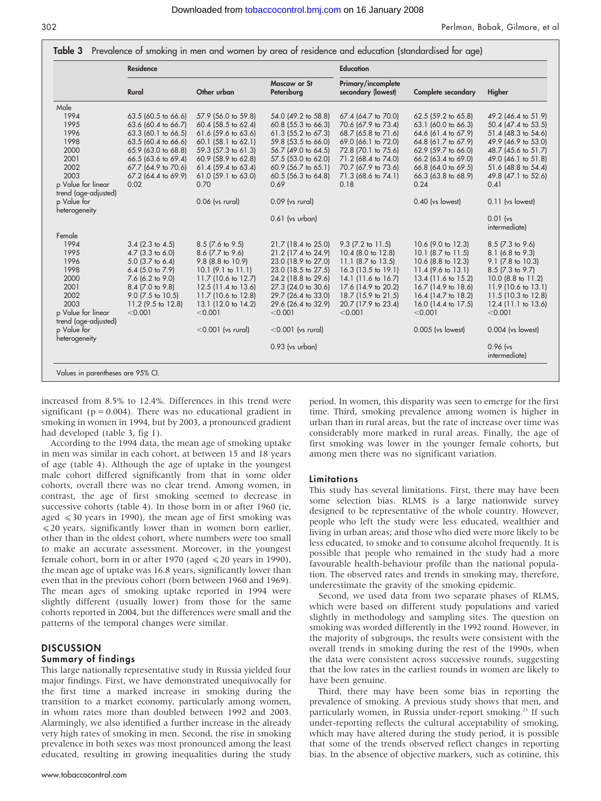# Table 3 Prevalence of smoking in men and women by area of residence and education (standardised for age)

|                                     | <b>Residence</b>                        | <b>Education</b>                           |                                            |                                            |                                            |                                            |
|-------------------------------------|-----------------------------------------|--------------------------------------------|--------------------------------------------|--------------------------------------------|--------------------------------------------|--------------------------------------------|
|                                     | Rural                                   | Other urban                                | Moscow or St<br>Petersburg                 | Primary/incomplete<br>secondary (lowest)   | Complete secondary                         | Higher                                     |
| Male                                |                                         |                                            |                                            |                                            |                                            |                                            |
| 1994                                | 63.5 (60.5 to 66.6)                     | 57.9 (56.0 to 59.8)                        | 54.0 (49.2 to 58.8)                        | 67.4 (64.7 to 70.0)                        | 62.5 (59.2 to 65.8)                        | 49.2 (46.4 to 51.9)                        |
| 1995                                | 63.6 (60.4 to 66.7)                     | 60.4 (58.5 to 62.4)                        | 60.8 (55.3 to 66.3)                        | 70.6 (67.9 to 73.4)                        | 63.1 (60.0 to 66.3)                        | 50.4 (47.4 to 53.5)                        |
| 1996                                | 63.3 (60.1 to 66.5)                     | 61.6 (59.6 to 63.6)                        | 61.3 (55.2 to 67.3)                        | 68.7 (65.8 to 71.6)                        | 64.6 (61.4 to 67.9)                        | 51.4 (48.3 to 54.6)                        |
| 1998                                | 63.5 (60.4 to 66.6)                     | 60.1 (58.1 to 62.1)                        | 59.8 (53.5 to 66.0)                        | 69.0 (66.1 to 72.0)                        | 64.8 (61.7 to 67.9)                        | 49.9 (46.9 to 53.0)                        |
| 2000                                | 65.9 (63.0 to 68.8)                     | 59.3 (57.3 to 61.3)                        | 56.7 (49.0 to 64.5)                        | 72.8 (70.1 to 75.6)                        | 62.9 (59.7 to 66.0)                        | 48.7 (45.6 to 51.7)                        |
| 2001                                | 66.5 (63.6 to 69.4)                     | 60.9 (58.9 to 62.8)                        | 57.5 (53.0 to 62.0)                        | 71.2 (68.4 to 74.0)                        | 66.2 (63.4 to 69.0)                        | 49.0 (46.1 to 51.8)                        |
| 2002                                | 67.7 (64.9 to 70.6)                     | $61.4$ (59.4 to 63.4)                      | 60.9 (56.7 to 65.1)                        | 70.7 (67.9 to 73.6)                        | 66.8 (64.0 to 69.5)                        | 51.6 (48.8 to 54.4)                        |
| 2003                                | 67.2 (64.4 to 69.9)                     | 61.0 (59.1 to 63.0)                        | 60.5 (56.3 to 64.8)                        | 71.3 (68.6 to 74.1)                        | 66.3 (63.8 to 68.9)                        | 49.8 (47.1 to 52.6)                        |
| p Value for linear                  | 0.02                                    | 0.70                                       | 0.69                                       | 0.18                                       | 0.24                                       | 0.41                                       |
| trend (age-adjusted)<br>p Value for |                                         | $0.06$ (vs rural)                          | $0.09$ (vs rural)                          |                                            | $0.40$ (vs lowest)                         | $0.11$ (vs lowest)                         |
| heterogeneity                       |                                         |                                            | $0.61$ (vs urban)                          |                                            |                                            | $0.01$ (vs                                 |
|                                     |                                         |                                            |                                            |                                            |                                            | intermediate)                              |
| Female                              |                                         |                                            |                                            |                                            |                                            |                                            |
| 1994                                | $3.4$ (2.3 to 4.5)                      | 8.5 (7.6 to 9.5)                           | 21.7 (18.4 to 25.0)                        | $9.3$ (7.2 to 11.5)                        | 10.6 (9.0 to 12.3)                         | 8.5 (7.3 to 9.6)                           |
| 1995                                | $4.7$ (3.3 to 6.0)                      | 8.6 (7.7 to 9.6)                           | 21.2 (17.4 to 24.9)                        | 10.4 (8.0 to 12.8)                         | 10.1 (8.7 to 11.5)                         | 8.1 (6.8 to 9.3)                           |
| 1996                                | 5.0 (3.7 to 6.4)                        | 9.8 (8.8 to 10.9)                          | 23.0 (18.9 to 27.0)                        | 11.1 (8.7 to 13.5)                         | 10.6 (8.8 to 12.3)                         | 9.1 (7.8 to 10.3)                          |
| 1998                                | 6.4 $(5.0 \text{ to } 7.9)$             | $10.1$ (9.1 to $11.1$ )                    | 23.0 (18.5 to 27.5)                        | $16.3$ (13.5 to 19.1)                      | 11.4 (9.6 to 13.1)                         | 8.5 (7.3 to 9.7)                           |
| 2000                                | 7.6 (6.2 to 9.0)                        | 11.7 (10.6 to 12.7)                        | 24.2 (18.8 to 29.6)                        | 14.1 (11.6 to 16.7)                        | 13.4 (11.6 to 15.2)                        | 10.0 (8.8 to 11.2)                         |
| 2001                                | 8.4 (7.0 to 9.8)                        | 12.5 (11.4 to 13.6)                        | 27.3 (24.0 to 30.6)                        | 17.6 (14.9 to 20.2)                        | 16.7 (14.9 to 18.6)                        | 11.9 (10.6 to 13.1)                        |
| 2002<br>2003                        | 9.0 (7.5 to 10.5)<br>11.2 (9.5 to 12.8) | 11.7 (10.6 to 12.8)<br>13.1 (12.0 to 14.2) | 29.7 (26.4 to 33.0)<br>29.6 (26.4 to 32.9) | 18.7 (15.9 to 21.5)<br>20.7 (17.9 to 23.4) | 16.4 (14.7 to 18.2)<br>16.0 (14.4 to 17.5) | 11.5 (10.3 to 12.8)<br>12.4 (11.1 to 13.6) |
| p Value for linear                  | < 0.001                                 | < 0.001                                    | < 0.001                                    | < 0.001                                    | < 0.001                                    | < 0.001                                    |
| trend (age-adjusted)                |                                         |                                            |                                            |                                            |                                            |                                            |
| p Value for<br>heterogeneity        |                                         | $<$ 0.001 (vs rural)                       | $<$ 0.001 (vs rural)                       |                                            | $0.005$ (vs lowest)                        | 0.004 (vs lowest)                          |
|                                     |                                         |                                            | $0.93$ (vs urban)                          |                                            |                                            | $0.96$ (vs<br>intermediate)                |
| Values in parentheses are 95% CI.   |                                         |                                            |                                            |                                            |                                            |                                            |

increased from 8.5% to 12.4%. Differences in this trend were significant ( $p = 0.004$ ). There was no educational gradient in smoking in women in 1994, but by 2003, a pronounced gradient had developed (table 3, fig 1).

According to the 1994 data, the mean age of smoking uptake in men was similar in each cohort, at between 15 and 18 years of age (table 4). Although the age of uptake in the youngest male cohort differed significantly from that in some older cohorts, overall there was no clear trend. Among women, in contrast, the age of first smoking seemed to decrease in successive cohorts (table 4). In those born in or after 1960 (ie, aged  $\leq 30$  years in 1990), the mean age of first smoking was  $\leq$  20 years, significantly lower than in women born earlier, other than in the oldest cohort, where numbers were too small to make an accurate assessment. Moreover, in the youngest female cohort, born in or after 1970 (aged  $\leq 20$  years in 1990), the mean age of uptake was 16.8 years, significantly lower than even that in the previous cohort (born between 1960 and 1969). The mean ages of smoking uptake reported in 1994 were slightly different (usually lower) from those for the same cohorts reported in 2004, but the differences were small and the patterns of the temporal changes were similar.

# **DISCUSSION**

# Summary of findings

This large nationally representative study in Russia yielded four major findings. First, we have demonstrated unequivocally for the first time a marked increase in smoking during the transition to a market economy, particularly among women, in whom rates more than doubled between 1992 and 2003. Alarmingly, we also identified a further increase in the already very high rates of smoking in men. Second, the rise in smoking prevalence in both sexes was most pronounced among the least educated, resulting in growing inequalities during the study

period. In women, this disparity was seen to emerge for the first time. Third, smoking prevalence among women is higher in urban than in rural areas, but the rate of increase over time was considerably more marked in rural areas. Finally, the age of first smoking was lower in the younger female cohorts, but among men there was no significant variation.

#### **Limitations**

This study has several limitations. First, there may have been some selection bias. RLMS is a large nationwide survey designed to be representative of the whole country. However, people who left the study were less educated, wealthier and living in urban areas; and those who died were more likely to be less educated, to smoke and to consume alcohol frequently. It is possible that people who remained in the study had a more favourable health-behaviour profile than the national population. The observed rates and trends in smoking may, therefore, underestimate the gravity of the smoking epidemic.

Second, we used data from two separate phases of RLMS, which were based on different study populations and varied slightly in methodology and sampling sites. The question on smoking was worded differently in the 1992 round. However, in the majority of subgroups, the results were consistent with the overall trends in smoking during the rest of the 1990s, when the data were consistent across successive rounds, suggesting that the low rates in the earliest rounds in women are likely to have been genuine.

Third, there may have been some bias in reporting the prevalence of smoking. A previous study shows that men, and particularly women, in Russia under-report smoking.<sup>23</sup> If such under-reporting reflects the cultural acceptability of smoking, which may have altered during the study period, it is possible that some of the trends observed reflect changes in reporting bias. In the absence of objective markers, such as cotinine, this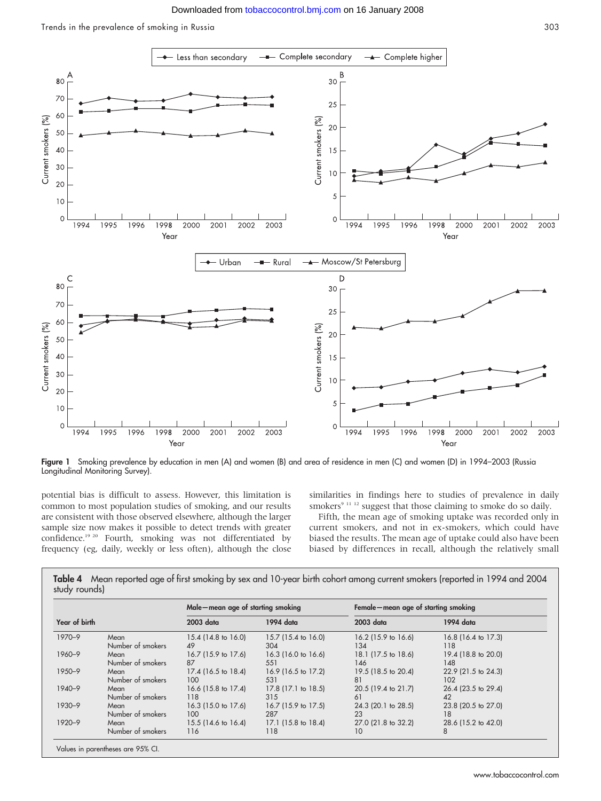Trends in the prevalence of smoking in Russia 303



Figure 1 Smoking prevalence by education in men (A) and women (B) and area of residence in men (C) and women (D) in 1994–2003 (Russia Longitudinal Monitoring Survey).

potential bias is difficult to assess. However, this limitation is common to most population studies of smoking, and our results are consistent with those observed elsewhere, although the larger sample size now makes it possible to detect trends with greater confidence.19 20 Fourth, smoking was not differentiated by frequency (eg, daily, weekly or less often), although the close similarities in findings here to studies of prevalence in daily smokers<sup>9 11 12</sup> suggest that those claiming to smoke do so daily.

Fifth, the mean age of smoking uptake was recorded only in current smokers, and not in ex-smokers, which could have biased the results. The mean age of uptake could also have been biased by differences in recall, although the relatively small

|               | Table 4 Mean reported age of first smoking by sex and 10-year birth cohort among current smokers (reported in 1994 and 2004 |  |
|---------------|-----------------------------------------------------------------------------------------------------------------------------|--|
| study rounds) |                                                                                                                             |  |

|               |                   | Male-mean age of starting smoking |                     | Female-mean age of starting smoking |                     |  |
|---------------|-------------------|-----------------------------------|---------------------|-------------------------------------|---------------------|--|
| Year of birth |                   | $2003$ data                       | 1994 data           | 2003 data                           | 1994 data           |  |
| 1970-9        | Mean              | 15.4 (14.8 to 16.0)               | 15.7 (15.4 to 16.0) | 16.2 (15.9 to 16.6)                 | 16.8 (16.4 to 17.3) |  |
|               | Number of smokers | 49                                | 304                 | 134                                 | 118                 |  |
| 1960-9        | Mean              | $16.7$ (15.9 to 17.6)             | 16.3 (16.0 to 16.6) | 18.1 (17.5 to 18.6)                 | 19.4 (18.8 to 20.0) |  |
|               | Number of smokers | 87                                | 551                 | 146                                 | 148                 |  |
| 1950-9        | Mean              | 17.4 (16.5 to 18.4)               | 16.9 (16.5 to 17.2) | 19.5 (18.5 to 20.4)                 | 22.9 (21.5 to 24.3) |  |
|               | Number of smokers | 100                               | 531                 | 81                                  | 102                 |  |
| 1940-9        | Mean              | 16.6 (15.8 to $17.4$ )            | 17.8 (17.1 to 18.5) | 20.5 (19.4 to 21.7)                 | 26.4 (23.5 to 29.4) |  |
|               | Number of smokers | 118                               | 315                 | 61                                  | 42                  |  |
| 1930-9        | Mean              | $16.3$ (15.0 to 17.6)             | 16.7 (15.9 to 17.5) | 24.3 (20.1 to 28.5)                 | 23.8 (20.5 to 27.0) |  |
|               | Number of smokers | 100                               | 287                 | 23                                  | 18                  |  |
| $1920 - 9$    | Mean              | $15.5(14.6 \text{ to } 16.4)$     | 17.1 (15.8 to 18.4) | 27.0 (21.8 to 32.2)                 | 28.6 (15.2 to 42.0) |  |
|               | Number of smokers | 116                               | 118                 | 10                                  | 8                   |  |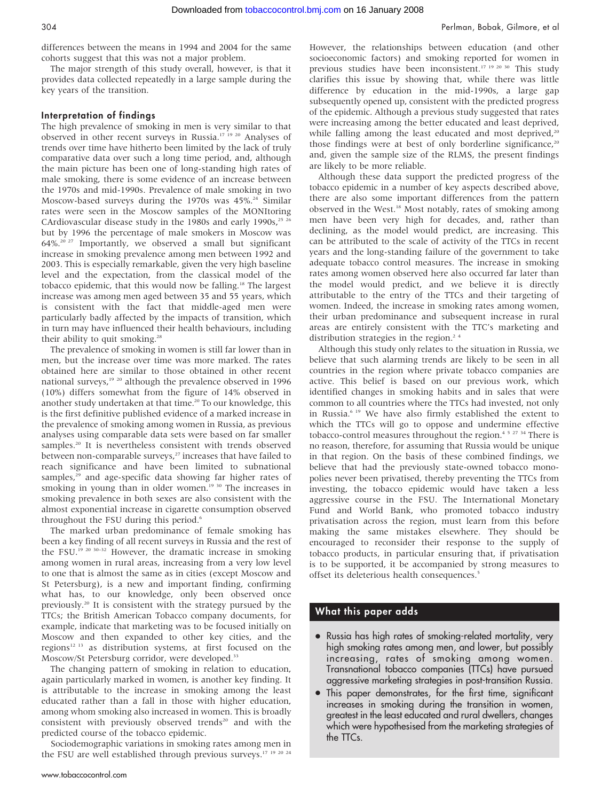differences between the means in 1994 and 2004 for the same cohorts suggest that this was not a major problem.

The major strength of this study overall, however, is that it provides data collected repeatedly in a large sample during the key years of the transition.

# Interpretation of findings

The high prevalence of smoking in men is very similar to that observed in other recent surveys in Russia.17 19 20 Analyses of trends over time have hitherto been limited by the lack of truly comparative data over such a long time period, and, although the main picture has been one of long-standing high rates of male smoking, there is some evidence of an increase between the 1970s and mid-1990s. Prevalence of male smoking in two Moscow-based surveys during the 1970s was  $45\%$ .<sup>24</sup> Similar rates were seen in the Moscow samples of the MONItoring CArdiovascular disease study in the 1980s and early 1990s,<sup>25 26</sup> but by 1996 the percentage of male smokers in Moscow was  $64\%$ <sup>20 27</sup> Importantly, we observed a small but significant increase in smoking prevalence among men between 1992 and 2003. This is especially remarkable, given the very high baseline level and the expectation, from the classical model of the tobacco epidemic, that this would now be falling.18 The largest increase was among men aged between 35 and 55 years, which is consistent with the fact that middle-aged men were particularly badly affected by the impacts of transition, which in turn may have influenced their health behaviours, including their ability to quit smoking.<sup>28</sup>

The prevalence of smoking in women is still far lower than in men, but the increase over time was more marked. The rates obtained here are similar to those obtained in other recent national surveys,<sup>19 20</sup> although the prevalence observed in 1996 (10%) differs somewhat from the figure of 14% observed in another study undertaken at that time.<sup>20</sup> To our knowledge, this is the first definitive published evidence of a marked increase in the prevalence of smoking among women in Russia, as previous analyses using comparable data sets were based on far smaller samples.<sup>20</sup> It is nevertheless consistent with trends observed between non-comparable surveys,<sup>27</sup> increases that have failed to reach significance and have been limited to subnational samples,<sup>29</sup> and age-specific data showing far higher rates of smoking in young than in older women.<sup>19 30</sup> The increases in smoking prevalence in both sexes are also consistent with the almost exponential increase in cigarette consumption observed throughout the FSU during this period.<sup>6</sup>

The marked urban predominance of female smoking has been a key finding of all recent surveys in Russia and the rest of the FSU.19 20 30–32 However, the dramatic increase in smoking among women in rural areas, increasing from a very low level to one that is almost the same as in cities (except Moscow and St Petersburg), is a new and important finding, confirming what has, to our knowledge, only been observed once previously.20 It is consistent with the strategy pursued by the TTCs; the British American Tobacco company documents, for example, indicate that marketing was to be focused initially on Moscow and then expanded to other key cities, and the regions<sup>12 13</sup> as distribution systems, at first focused on the Moscow/St Petersburg corridor, were developed.<sup>33</sup>

The changing pattern of smoking in relation to education, again particularly marked in women, is another key finding. It is attributable to the increase in smoking among the least educated rather than a fall in those with higher education, among whom smoking also increased in women. This is broadly consistent with previously observed trends<sup>20</sup> and with the predicted course of the tobacco epidemic.

Sociodemographic variations in smoking rates among men in the FSU are well established through previous surveys.<sup>17</sup> <sup>19 20</sup> <sup>24</sup>

However, the relationships between education (and other socioeconomic factors) and smoking reported for women in previous studies have been inconsistent.<sup>17 19 20 30</sup> This study clarifies this issue by showing that, while there was little difference by education in the mid-1990s, a large gap subsequently opened up, consistent with the predicted progress of the epidemic. Although a previous study suggested that rates were increasing among the better educated and least deprived, while falling among the least educated and most deprived.<sup>20</sup> those findings were at best of only borderline significance, $20$ and, given the sample size of the RLMS, the present findings are likely to be more reliable.

Although these data support the predicted progress of the tobacco epidemic in a number of key aspects described above, there are also some important differences from the pattern observed in the West.18 Most notably, rates of smoking among men have been very high for decades, and, rather than declining, as the model would predict, are increasing. This can be attributed to the scale of activity of the TTCs in recent years and the long-standing failure of the government to take adequate tobacco control measures. The increase in smoking rates among women observed here also occurred far later than the model would predict, and we believe it is directly attributable to the entry of the TTCs and their targeting of women. Indeed, the increase in smoking rates among women, their urban predominance and subsequent increase in rural areas are entirely consistent with the TTC's marketing and distribution strategies in the region.<sup>24</sup>

Although this study only relates to the situation in Russia, we believe that such alarming trends are likely to be seen in all countries in the region where private tobacco companies are active. This belief is based on our previous work, which identified changes in smoking habits and in sales that were common to all countries where the TTCs had invested, not only in Russia.6 19 We have also firmly established the extent to which the TTCs will go to oppose and undermine effective tobacco-control measures throughout the region.<sup>4 5 27 34</sup> There is no reason, therefore, for assuming that Russia would be unique in that region. On the basis of these combined findings, we believe that had the previously state-owned tobacco monopolies never been privatised, thereby preventing the TTCs from investing, the tobacco epidemic would have taken a less aggressive course in the FSU. The International Monetary Fund and World Bank, who promoted tobacco industry privatisation across the region, must learn from this before making the same mistakes elsewhere. They should be encouraged to reconsider their response to the supply of tobacco products, in particular ensuring that, if privatisation is to be supported, it be accompanied by strong measures to offset its deleterious health consequences.<sup>5</sup>

# What this paper adds

- Russia has high rates of smoking-related mortality, very high smoking rates among men, and lower, but possibly increasing, rates of smoking among women. Transnational tobacco companies (TTCs) have pursued aggressive marketing strategies in post-transition Russia.
- This paper demonstrates, for the first time, significant increases in smoking during the transition in women, greatest in the least educated and rural dwellers, changes which were hypothesised from the marketing strategies of the TTCs.